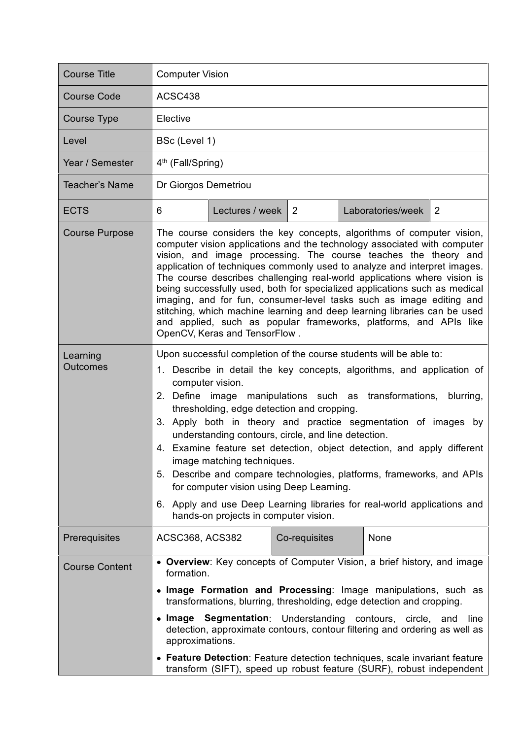| <b>Course Title</b>         | <b>Computer Vision</b>                                                                                                                                                                                                                                                                                                                                                                                                                                                                                                                                                                                                                                                                                                                                            |                      |               |  |                   |                |
|-----------------------------|-------------------------------------------------------------------------------------------------------------------------------------------------------------------------------------------------------------------------------------------------------------------------------------------------------------------------------------------------------------------------------------------------------------------------------------------------------------------------------------------------------------------------------------------------------------------------------------------------------------------------------------------------------------------------------------------------------------------------------------------------------------------|----------------------|---------------|--|-------------------|----------------|
| <b>Course Code</b>          | ACSC438                                                                                                                                                                                                                                                                                                                                                                                                                                                                                                                                                                                                                                                                                                                                                           |                      |               |  |                   |                |
| <b>Course Type</b>          | Elective                                                                                                                                                                                                                                                                                                                                                                                                                                                                                                                                                                                                                                                                                                                                                          |                      |               |  |                   |                |
| Level                       | BSc (Level 1)                                                                                                                                                                                                                                                                                                                                                                                                                                                                                                                                                                                                                                                                                                                                                     |                      |               |  |                   |                |
| Year / Semester             | 4 <sup>th</sup> (Fall/Spring)                                                                                                                                                                                                                                                                                                                                                                                                                                                                                                                                                                                                                                                                                                                                     |                      |               |  |                   |                |
| <b>Teacher's Name</b>       | Dr Giorgos Demetriou                                                                                                                                                                                                                                                                                                                                                                                                                                                                                                                                                                                                                                                                                                                                              |                      |               |  |                   |                |
| <b>ECTS</b>                 | 6                                                                                                                                                                                                                                                                                                                                                                                                                                                                                                                                                                                                                                                                                                                                                                 | Lectures / week $ 2$ |               |  | Laboratories/week | $\overline{2}$ |
| <b>Course Purpose</b>       | The course considers the key concepts, algorithms of computer vision,<br>computer vision applications and the technology associated with computer<br>vision, and image processing. The course teaches the theory and<br>application of techniques commonly used to analyze and interpret images.<br>The course describes challenging real-world applications where vision is<br>being successfully used, both for specialized applications such as medical<br>imaging, and for fun, consumer-level tasks such as image editing and<br>stitching, which machine learning and deep learning libraries can be used<br>and applied, such as popular frameworks, platforms, and APIs like<br>OpenCV, Keras and TensorFlow.                                             |                      |               |  |                   |                |
| Learning<br><b>Outcomes</b> | Upon successful completion of the course students will be able to:<br>1. Describe in detail the key concepts, algorithms, and application of<br>computer vision.<br>2. Define image manipulations such as transformations, blurring,<br>thresholding, edge detection and cropping.<br>3. Apply both in theory and practice segmentation of images by<br>understanding contours, circle, and line detection.<br>4. Examine feature set detection, object detection, and apply different<br>image matching techniques.<br>Describe and compare technologies, platforms, frameworks, and APIs<br>5.<br>for computer vision using Deep Learning.<br>6. Apply and use Deep Learning libraries for real-world applications and<br>hands-on projects in computer vision. |                      |               |  |                   |                |
| Prerequisites               | ACSC368, ACS382                                                                                                                                                                                                                                                                                                                                                                                                                                                                                                                                                                                                                                                                                                                                                   |                      | Co-requisites |  | None              |                |
| <b>Course Content</b>       | • Overview: Key concepts of Computer Vision, a brief history, and image<br>formation.<br>• Image Formation and Processing: Image manipulations, such as<br>transformations, blurring, thresholding, edge detection and cropping.<br>• Image Segmentation: Understanding contours, circle,<br>and<br>line<br>detection, approximate contours, contour filtering and ordering as well as<br>approximations.<br>• Feature Detection: Feature detection techniques, scale invariant feature<br>transform (SIFT), speed up robust feature (SURF), robust independent                                                                                                                                                                                                   |                      |               |  |                   |                |